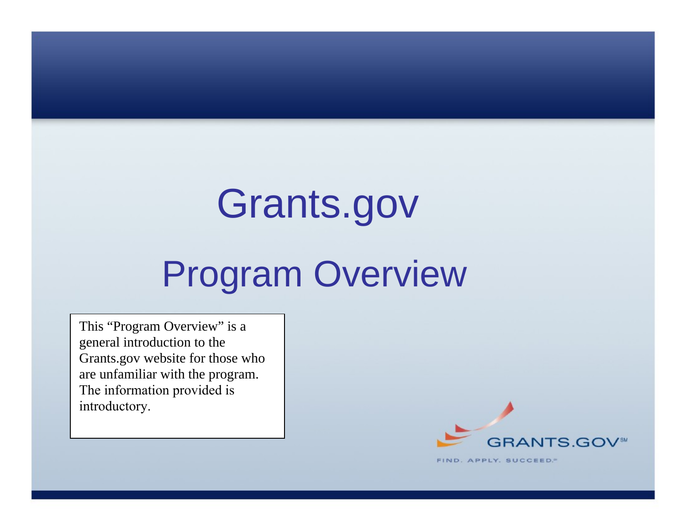# Grants.gov

# Program Overview

This "Program Overview" is a general introduction to the Grants.gov website for those who are unfamiliar with the program. The information provided is introductory.



FIND. APPLY. SUCCEED."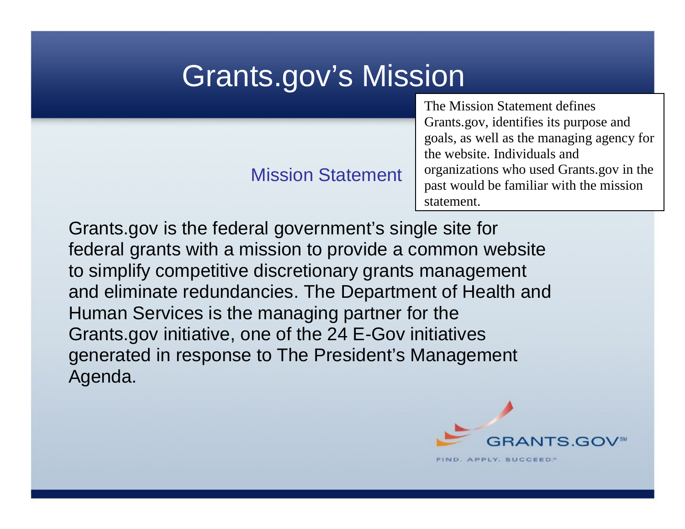# Grants.gov's Mission

#### Mission Statement

The Mission Statement defines Grants.gov, identifies its purpose and goals, as well as the managing agency for the website. Individuals and organizations who used Grants.gov in the past would be familiar with the mission statement.

Grants.gov is the federal government's single site for federal grants with a mission to provide a common website to simplify competitive discretionary grants management and eliminate redundancies. The Department of Health and Human Services is the managing partner for the Grants.gov initiative, one of the 24 E-Gov initiatives generated in response to The President's Management Agenda.

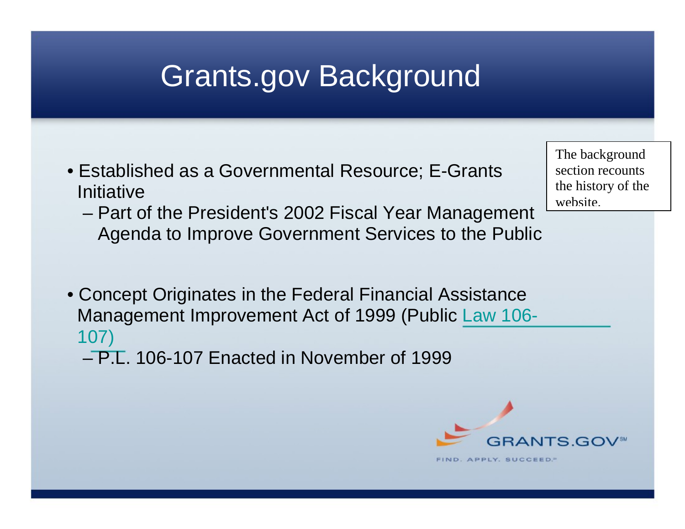# Grants.gov Background

- Established as a Governmental Resource; E-Grants Initiative
	- Part of the President's 2002 Fiscal Year Management Agenda to Improve Government Services to the Public
- Concept Originates in the Federal Financial Assistance Management Improvement Act of 1999 (Public Law 106- 107)
	- P.L. 106-107 Enacted in November of 1999



The background section recounts the history of the website.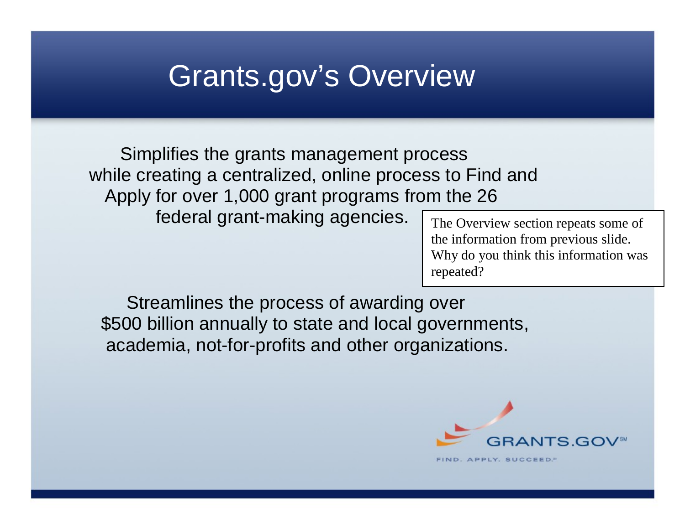## Grants.gov's Overview

 Simplifies the grants management process while creating a centralized, online process to Find and Apply for over 1,000 grant programs from the 26

federal grant-making agencies.

The Overview section repeats some of the information from previous slide. Why do you think this information was repeated?

 Streamlines the process of awarding over \$500 billion annually to state and local governments, academia, not-for-profits and other organizations.

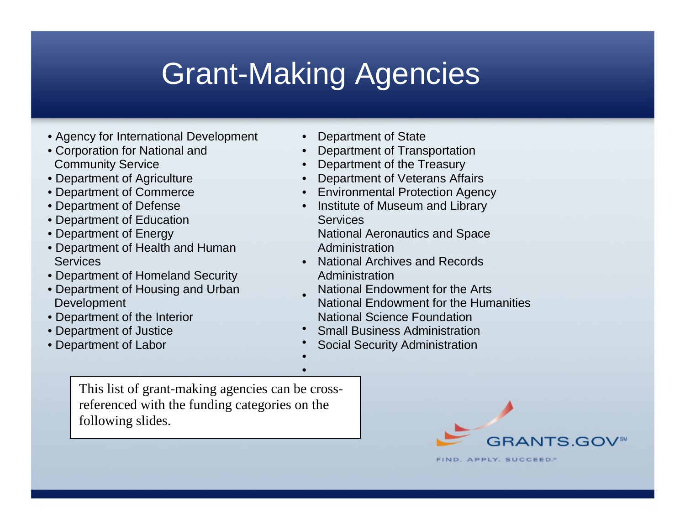# Grant-Making Agencies

•

- Agency for International Development
- Corporation for National and Community Service
- Department of Agriculture
- Department of Commerce
- Department of Defense
- Department of Education
- Department of Energy
- Department of Health and Human **Services**
- Department of Homeland Security
- Department of Housing and Urban Development
- Department of the Interior
- Department of Justice
- Department of Labor
- Department of State
- Department of Transportation
- Department of the Treasury
- Department of Veterans Affairs
- Environmental Protection Agency
- Institute of Museum and Library **Services** National Aeronautics and Space Administration
- National Archives and Records Administration
- National Endowment for the Arts National Endowment for the Humanities National Science Foundation
- Small Business Administration
- • Social Security Administration

This list of grant-making agencies can be crossreferenced with the funding categories on the following slides.

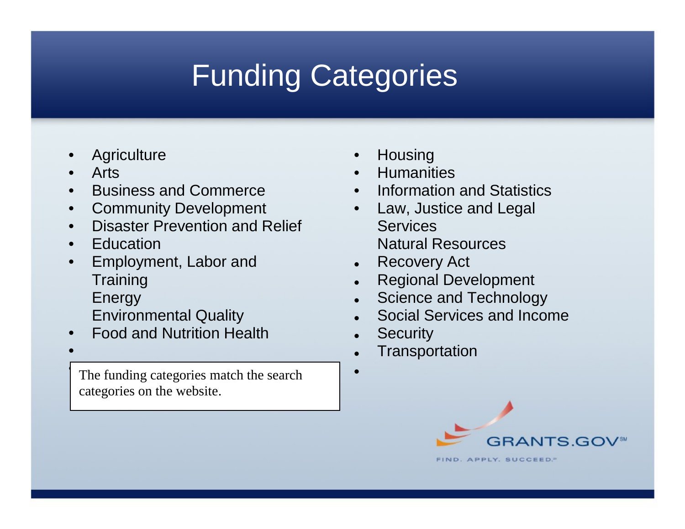# Funding Categories

- **Agriculture**
- Arts
- Business and Commerce
- Community Development
- Disaster Prevention and Relief
- Education
- Employment, Labor and **Training Energy** 
	- Environmental Quality
- Food and Nutrition Health
- •

The funding categories match the search categories on the website.

- **Housing**
- **Humanities**
- Information and Statistics
- Law, Justice and Legal **Services** Natural Resources
- Recovery Act
- Regional Development
- Science and Technology
- Social Services and Income
- **Security**

•

- **Transportation** 
	- GRANTS.GOV FIND. APPLY. SUCCEED."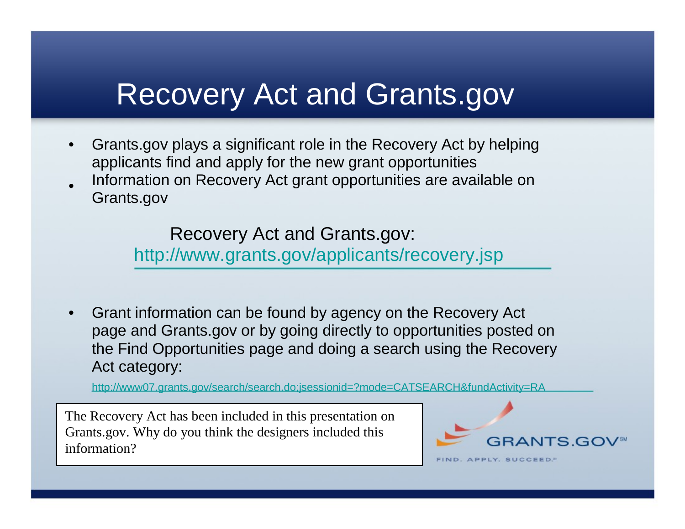### Recovery Act and Grants.gov

- Grants.gov plays a significant role in the Recovery Act by helping applicants find and apply for the new grant opportunities
- Information on Recovery Act grant opportunities are available on Grants.gov

Recovery Act and Grants.gov:

http://www.grants.gov/applicants/recovery.jsp

• Grant information can be found by agency on the Recovery Act page and Grants.gov or by going directly to opportunities posted on the Find Opportunities page and doing a search using the Recovery Act category:

http://www07.grants.gov/search/search.do;jsessionid=?mode=CATSEARCH&fundActivity=RA

The Recovery Act has been included in this presentation on Grants.gov. Why do you think the designers included this information?

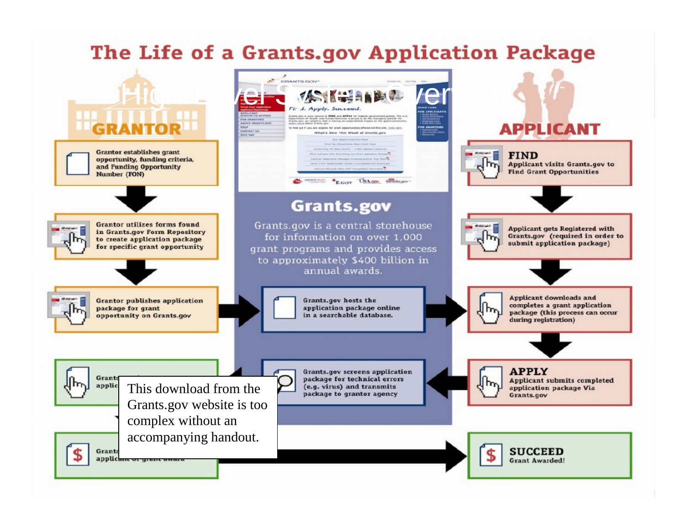#### The Life of a Grants.gov Application Package

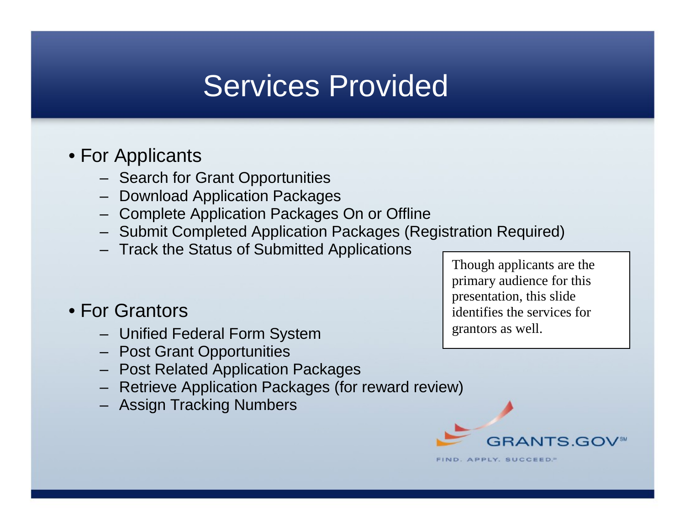### Services Provided

#### • For Applicants

- Search for Grant Opportunities
- Download Application Packages
- Complete Application Packages On or Offline
- Submit Completed Application Packages (Registration Required)
- Track the Status of Submitted Applications

#### • For Grantors

- Unified Federal Form System
- Post Grant Opportunities
- Post Related Application Packages
- Retrieve Application Packages (for reward review)
- Assign Tracking Numbers

Though applicants are the primary audience for this presentation, this slide identifies the services for grantors as well.



**FIND. APPLY. SUCCEED.**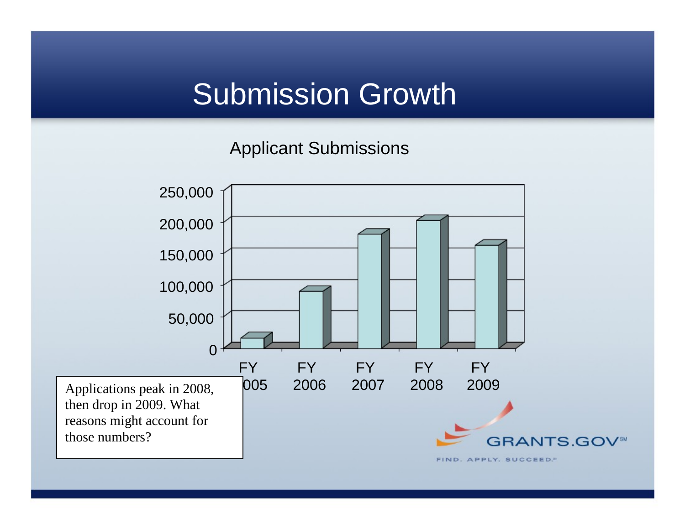# Submission Growth

Applicant Submissions